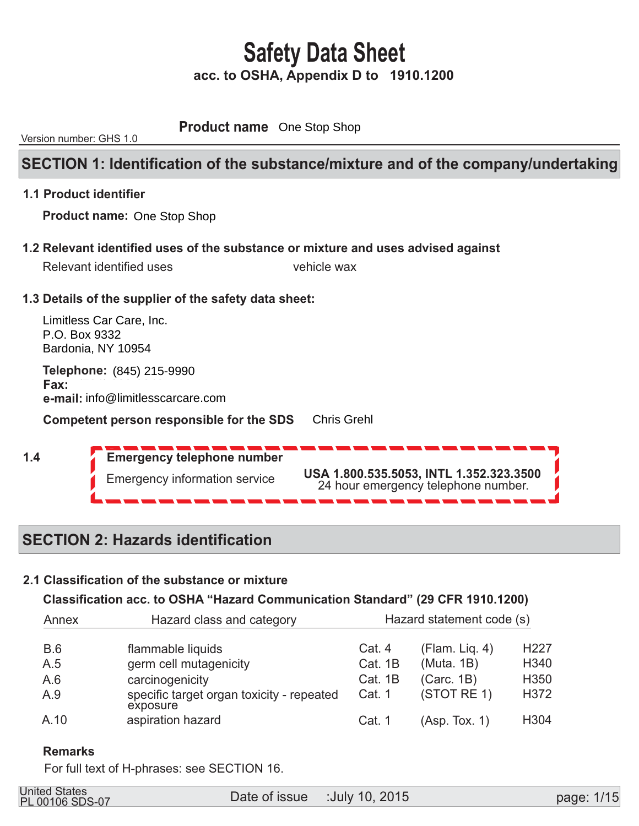**Product name** One Stop Shop

Version number: GHS 1.0

### **SECTION 1: Identification of the substance/mixture and of the company/undertaking**

### **1.1 Product identifier**

 **Product name:**  One Stop Shop

 **1.2 Relevant identified uses of the substance or mixture and uses advised against** 

|               | Relevant identified uses                                                  | vehicle wax                                                                    |
|---------------|---------------------------------------------------------------------------|--------------------------------------------------------------------------------|
|               | 1.3 Details of the supplier of the safety data sheet:                     |                                                                                |
| P.O. Box 9332 | Limitless Car Care, Inc.<br>Bardonia, NY 10954                            |                                                                                |
| Fax:          | <b>Telephone: (845) 215-9990</b><br>e-mail: info@limitlesscarcare.com     |                                                                                |
|               | <b>Competent person responsible for the SDS</b>                           | <b>Chris Grehl</b>                                                             |
| 1.4           | <b>Emergency telephone number</b><br><b>Emergency information service</b> | USA 1.800.535.5053, INTL 1.352.323.3500<br>24 hour emergency telephone number. |

## **SECTION 2: Hazards identification**

### **2.1 Classification of the substance or mixture**

### **Classification acc. to OSHA "Hazard Communication Standard" (29 CFR 1910.1200)**

| Annex      | Hazard class and category                             | Hazard statement code (s) |                |                  |  |  |
|------------|-------------------------------------------------------|---------------------------|----------------|------------------|--|--|
| <b>B.6</b> | flammable liquids                                     | Cat. 4                    | (Flam. Lig. 4) | H <sub>227</sub> |  |  |
| A.5        | germ cell mutagenicity                                | Cat. 1B                   | (Muta. 1B)     | H340             |  |  |
| A.6        | carcinogenicity                                       | Cat. 1B                   | (Carc. 1B)     | H <sub>350</sub> |  |  |
| A.9        | specific target organ toxicity - repeated<br>exposure | Cat. 1                    | (STOT RE 1)    | H372             |  |  |
| A.10       | aspiration hazard                                     | Cat. 1                    | (Asp. Tox. 1)  | H304             |  |  |

### **Remarks**

For full text of H-phrases: see SECTION 16.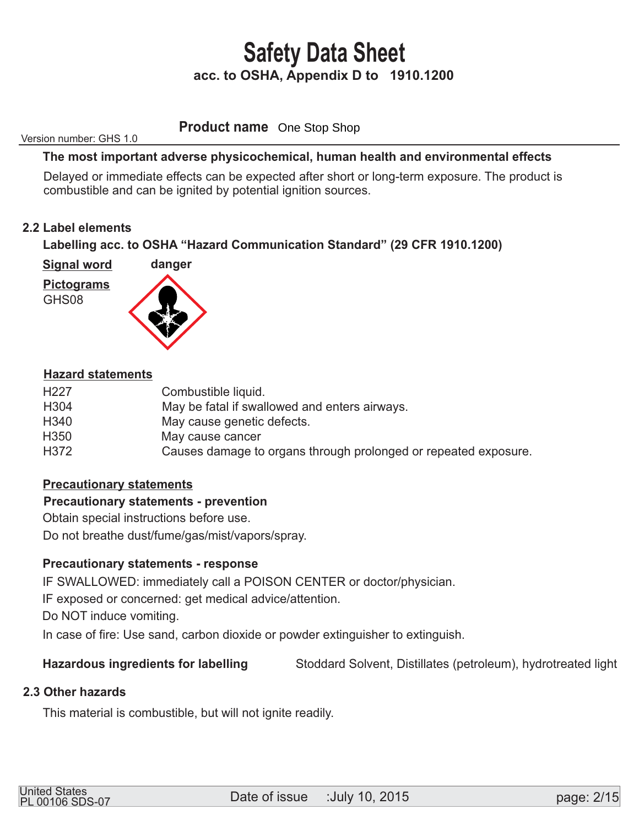**Product name** One Stop Shop

Version number: GHS 1.0

### **The most important adverse physicochemical, human health and environmental effects**

 Delayed or immediate effects can be expected after short or long-term exposure. The product is combustible and can be ignited by potential ignition sources.

### **2.2 Label elements**

### **Labelling acc. to OSHA "Hazard Communication Standard" (29 CFR 1910.1200)**

 **Signal word** 





### **Hazard statements**

| H <sub>227</sub> | Combustible liquid.                                             |
|------------------|-----------------------------------------------------------------|
| H <sub>304</sub> | May be fatal if swallowed and enters airways.                   |
| H340             | May cause genetic defects.                                      |
| H <sub>350</sub> | May cause cancer                                                |
| H372             | Causes damage to organs through prolonged or repeated exposure. |
|                  |                                                                 |

### **Precautionary statements**

### **Precautionary statements - prevention**

Obtain special instructions before use.

Do not breathe dust/fume/gas/mist/vapors/spray.

### **Precautionary statements - response**

IF SWALLOWED: immediately call a POISON CENTER or doctor/physician.

IF exposed or concerned: get medical advice/attention.

Do NOT induce vomiting.

In case of fire: Use sand, carbon dioxide or powder extinguisher to extinguish.

### **Hazardous ingredients for labelling** Stoddard Solvent, Distillates (petroleum), hydrotreated light

### **2.3 Other hazards**

This material is combustible, but will not ignite readily.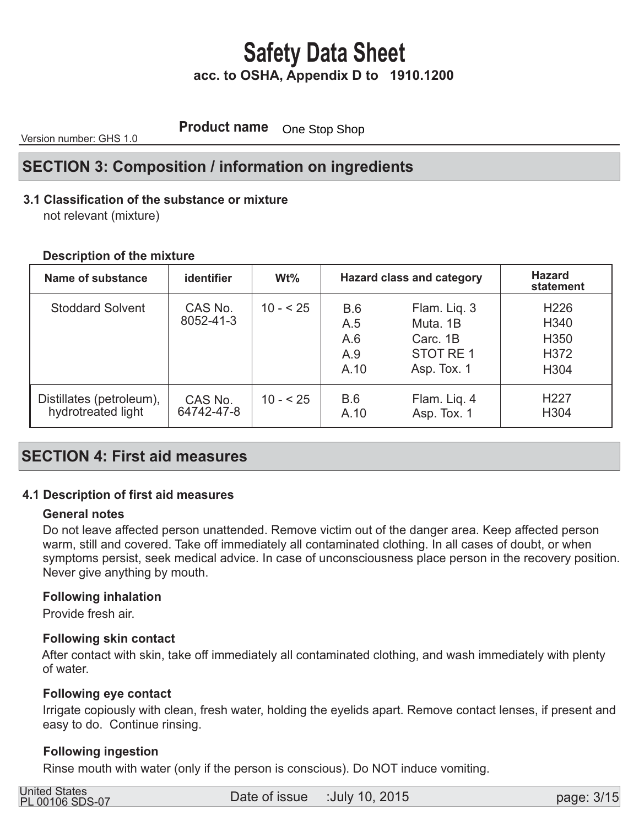**Product name** One Stop Shop

Version number: GHS 1.0

## **SECTION 3: Composition / information on ingredients**

### **3.1 Classification of the substance or mixture**

not relevant (mixture)

### **Description of the mixture**

| Name of substance                              | <b>identifier</b>     | $Wt\%$    | <b>Hazard class and category</b> |                                                                 | <b>Hazard</b><br>statement                                                           |
|------------------------------------------------|-----------------------|-----------|----------------------------------|-----------------------------------------------------------------|--------------------------------------------------------------------------------------|
| <b>Stoddard Solvent</b>                        | CAS No.<br>8052-41-3  | $10 - 25$ | B.6<br>A.5<br>A.6<br>A.9<br>A.10 | Flam. Liq. 3<br>Muta, 1B<br>Carc. 1B<br>STOT RE1<br>Asp. Tox. 1 | H <sub>226</sub><br>H <sub>340</sub><br>H <sub>350</sub><br>H372<br>H <sub>304</sub> |
| Distillates (petroleum),<br>hydrotreated light | CAS No.<br>64742-47-8 | $10 - 25$ | B.6<br>A.10                      | Flam. Lig. 4<br>Asp. Tox. 1                                     | H <sub>227</sub><br>H304                                                             |

## **SECTION 4: First aid measures**

### **4.1 Description of first aid measures**

### **General notes**

 Do not leave affected person unattended. Remove victim out of the danger area. Keep affected person warm, still and covered. Take off immediately all contaminated clothing. In all cases of doubt, or when symptoms persist, seek medical advice. In case of unconsciousness place person in the recovery position. Never give anything by mouth.

### **Following inhalation**

Provide fresh air.

### **Following skin contact**

 After contact with skin, take off immediately all contaminated clothing, and wash immediately with plenty of water.

### **Following eye contact**

 Irrigate copiously with clean, fresh water, holding the eyelids apart. Remove contact lenses, if present and easy to do. Continue rinsing.

### **Following ingestion**

Rinse mouth with water (only if the person is conscious). Do NOT induce vomiting.

| <b>United States</b><br><b>PL 00106 SDS-07</b> | Date of issue :July 10, 2015 |  |
|------------------------------------------------|------------------------------|--|
|                                                |                              |  |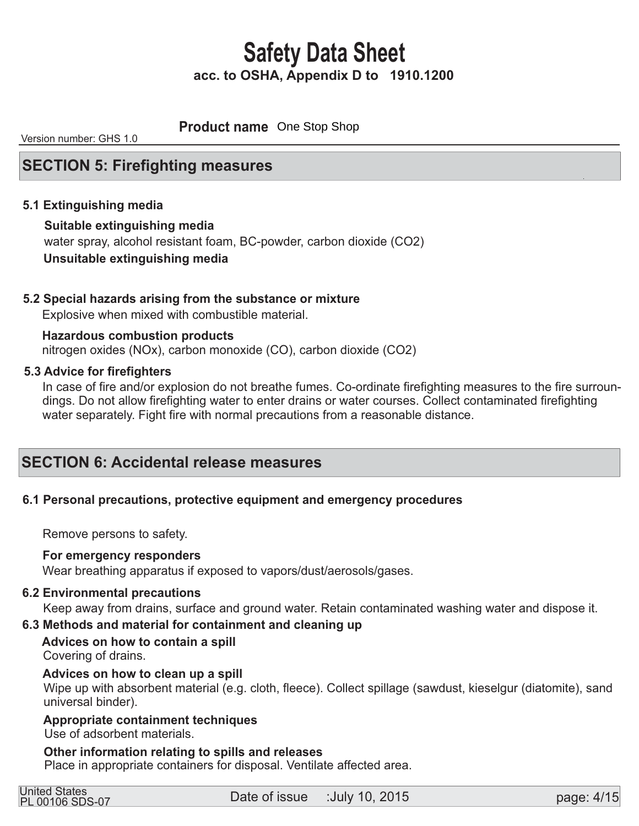**Product name** One Stop Shop

Version number: GHS 1.0

### **SECTION 5: Firefighting measures**

### **5.1 Extinguishing media**

### **Suitable extinguishing media**  water spray, alcohol resistant foam, BC-powder, carbon dioxide (CO2)

### **Unsuitable extinguishing media**

### **5.2 Special hazards arising from the substance or mixture**

Explosive when mixed with combustible material.

 nitrogen oxides (NOx), carbon monoxide (CO), carbon dioxide (CO2)  **Hazardous combustion products** 

### **5.3 Advice for firefighters**

 In case of fire and/or explosion do not breathe fumes. Co-ordinate firefighting measures to the fire surroun dings. Do not allow firefighting water to enter drains or water courses. Collect contaminated firefighting water separately. Fight fire with normal precautions from a reasonable distance.

### **SECTION 6: Accidental release measures**

### **6.1 Personal precautions, protective equipment and emergency procedures**

Remove persons to safety.

### **For emergency responders**

Wear breathing apparatus if exposed to vapors/dust/aerosols/gases.

### **6.2 Environmental precautions**

Keep away from drains, surface and ground water. Retain contaminated washing water and dispose it.

### **6.3 Methods and material for containment and cleaning up**

 **Advices on how to contain a spill** Covering of drains.

### **Advices on how to clean up a spill**

Wipe up with absorbent material (e.g. cloth, fleece). Collect spillage (sawdust, kieselgur (diatomite), sand universal binder).

### **Appropriate containment techniques**

Use of adsorbent materials.

### **Other information relating to spills and releases**

Place in appropriate containers for disposal. Ventilate affected area.

| <b>United States</b> |  |
|----------------------|--|
| PL 00106 SDS-07      |  |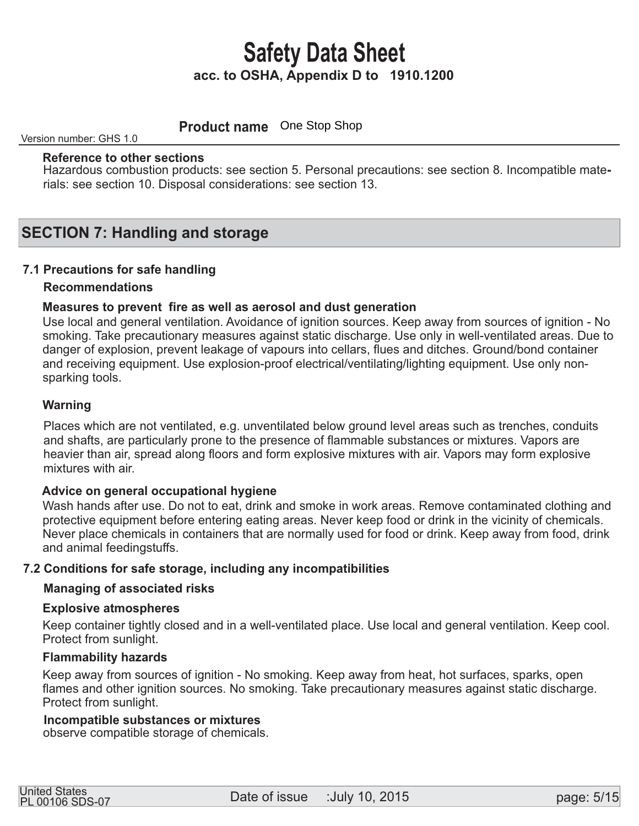**Product name** One Stop Shop

Version number: GHS 1.0

### **Reference to other sections**

Hazardous combustion products: see section 5. Personal precautions: see section 8. Incompatible materials: see section 10. Disposal considerations: see section 13.

### **SECTION 7: Handling and storage**

### **7.1 Precautions for safe handling**

### **Recommendations**

### **Measures to prevent fire as well as aerosol and dust generation**

 Use local and general ventilation. Avoidance of ignition sources. Keep away from sources of ignition - No smoking. Take precautionary measures against static discharge. Use only in well-ventilated areas. Due to danger of explosion, prevent leakage of vapours into cellars, flues and ditches. Ground/bond container and receiving equipment. Use explosion-proof electrical/ventilating/lighting equipment. Use only non sparking tools.

### **Warning**

 Places which are not ventilated, e.g. unventilated below ground level areas such as trenches, conduits and shafts, are particularly prone to the presence of flammable substances or mixtures. Vapors are heavier than air, spread along floors and form explosive mixtures with air. Vapors may form explosive mixtures with air.

### **Advice on general occupational hygiene**

 Wash hands after use. Do not to eat, drink and smoke in work areas. Remove contaminated clothing and protective equipment before entering eating areas. Never keep food or drink in the vicinity of chemicals. Never place chemicals in containers that are normally used for food or drink. Keep away from food, drink and animal feedingstuffs.

### **7.2 Conditions for safe storage, including any incompatibilities**

### **Managing of associated risks**

### **Explosive atmospheres**

 Keep container tightly closed and in a well-ventilated place. Use local and general ventilation. Keep cool. Protect from sunlight.

### **Flammability hazards**

 Keep away from sources of ignition - No smoking. Keep away from heat, hot surfaces, sparks, open flames and other ignition sources. No smoking. Take precautionary measures against static discharge. Protect from sunlight.

### **Incompatible substances or mixtures**

observe compatible storage of chemicals.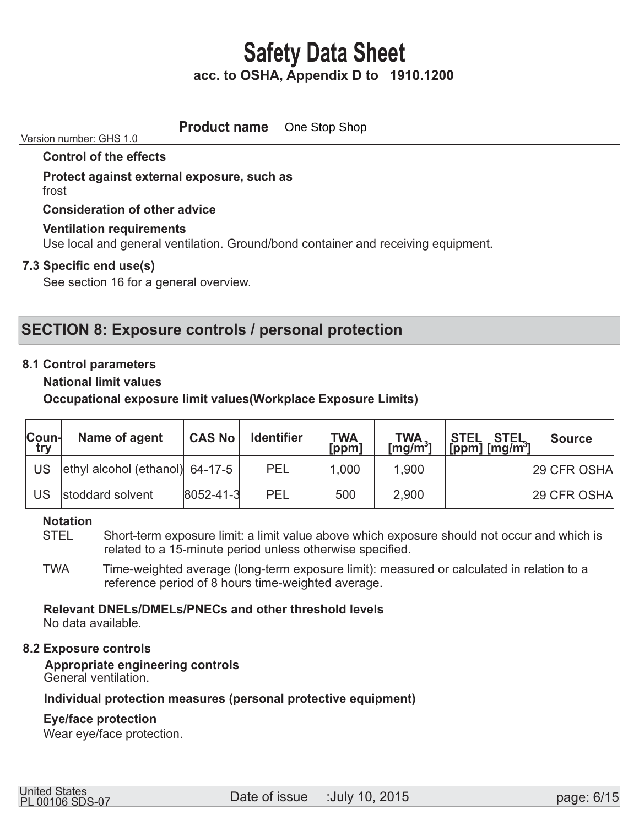**Product name** One Stop Shop

#### Version number: GHS 1.0

### **Control of the effects**

 **Protect against external exposure, such as**  frost

 **Consideration of other advice** 

### **Ventilation requirements**

Use local and general ventilation. Ground/bond container and receiving equipment.

### **7.3 Specific end use(s)**

See section 16 for a general overview.

## **SECTION 8: Exposure controls / personal protection**

### **8.1 Control parameters**

 **National limit values** 

 **Occupational exposure limit values(Workplace Exposure Limits)** 

| Coun-<br>try | Name of agent                   | <b>CAS No</b>     | <b>Identifier</b> | <b>TWA</b><br>[ppm] | $TWA$ <sup>3</sup> | <b>STEL STEL</b><br>[ppm] $\text{[mg/m}^3\text{]}$ | <b>Source</b> |
|--------------|---------------------------------|-------------------|-------------------|---------------------|--------------------|----------------------------------------------------|---------------|
| US           | ethyl alcohol (ethanol) 64-17-5 |                   | <b>PEL</b>        | 1,000               | 1,900              |                                                    | 29 CFR OSHA   |
| US           | stoddard solvent                | $ 8052 - 41 - 3 $ | <b>PEL</b>        | 500                 | 2,900              |                                                    | 29 CFR OSHA   |

# **Notation**

Short-term exposure limit: a limit value above which exposure should not occur and which is related to a 15-minute period unless otherwise specified.

 TWA Time-weighted average (long-term exposure limit): measured or calculated in relation to a reference period of 8 hours time-weighted average.

# **Relevant DNELs/DMELs/PNECs and other threshold levels**

No data available.

### **8.2 Exposure controls**

 **Appropriate engineering controls**  General ventilation.

### **Individual protection measures (personal protective equipment)**

### **Eye/face protection**

Wear eye/face protection.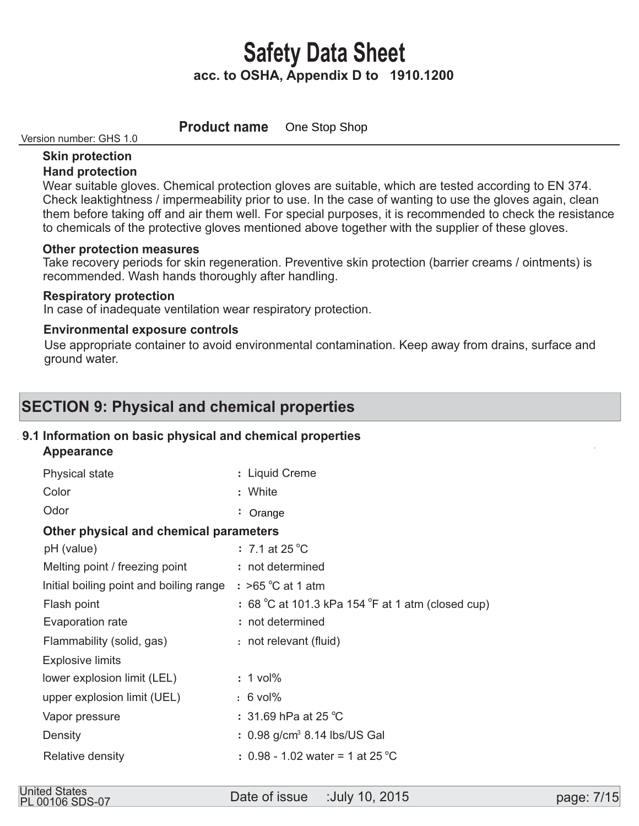**Product name** One Stop Shop

#### Version number: GHS 1.0

### **Skin protection Hand protection**

 Wear suitable gloves. Chemical protection gloves are suitable, which are tested according to EN 374. Check leaktightness / impermeability prior to use. In the case of wanting to use the gloves again, clean them before taking off and air them well. For special purposes, it is recommended to check the resistance to chemicals of the protective gloves mentioned above together with the supplier of these gloves.

### **Other protection measures**

 Take recovery periods for skin regeneration. Preventive skin protection (barrier creams / ointments) is recommended. Wash hands thoroughly after handling.

### **Respiratory protection**

In case of inadequate ventilation wear respiratory protection.

### **Environmental exposure controls**

 Use appropriate container to avoid environmental contamination. Keep away from drains, surface and ground water.

## **SECTION 9: Physical and chemical properties**

### **9.1 Information on basic physical and chemical properties**

 **Appearance** 

| Physical state                          | : Liquid Creme                                    |
|-----------------------------------------|---------------------------------------------------|
| Color                                   | : White                                           |
| Odor                                    | $:$ Orange                                        |
| Other physical and chemical parameters  |                                                   |
| pH (value)                              | $\therefore$ 7.1 at 25 °C                         |
| Melting point / freezing point          | : not determined                                  |
| Initial boiling point and boiling range | $:$ >65 °C at 1 atm                               |
| Flash point                             | : 68 °C at 101.3 kPa 154 °F at 1 atm (closed cup) |
| Evaporation rate                        | : not determined                                  |
| Flammability (solid, gas)               | : not relevant (fluid)                            |
| <b>Explosive limits</b>                 |                                                   |
| lower explosion limit (LEL)             | $: 1$ vol%                                        |
| upper explosion limit (UEL)             | $: 6$ vol%                                        |
| Vapor pressure                          | : 31.69 hPa at 25 $^{\circ}$ C                    |
| Density                                 | $: 0.98$ g/cm <sup>3</sup> 8.14 lbs/US Gal        |
| Relative density                        | : 0.98 - 1.02 water = 1 at 25 °C                  |
|                                         |                                                   |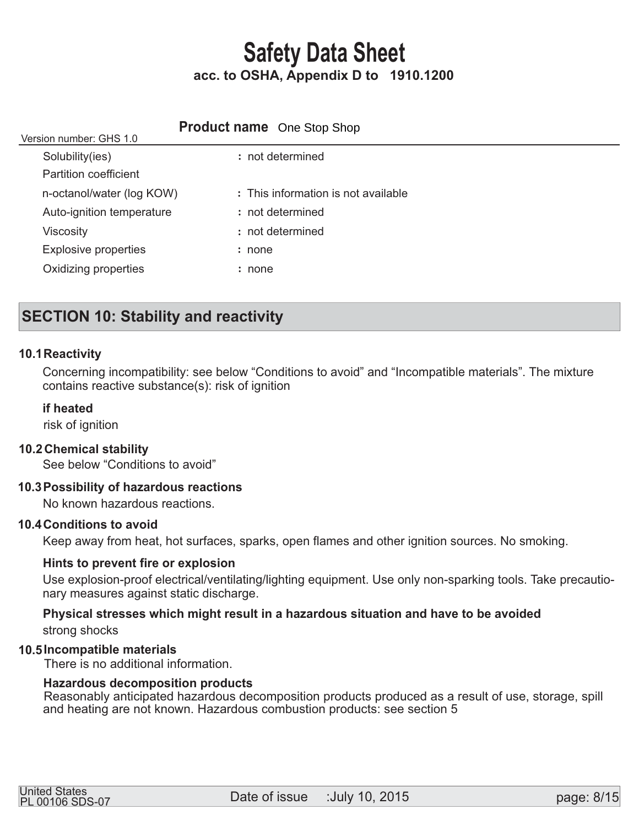## **Product name** One Stop Shop

| Version number: GHS 1.0      |                                     |
|------------------------------|-------------------------------------|
| Solubility(ies)              | : not determined                    |
| <b>Partition coefficient</b> |                                     |
| n-octanol/water (log KOW)    | : This information is not available |
| Auto-ignition temperature    | : not determined                    |
| <b>Viscosity</b>             | : not determined                    |
| <b>Explosive properties</b>  | : none                              |
| Oxidizing properties         | : none                              |
|                              |                                     |

# **SECTION 10: Stability and reactivity**

### **10.1 Reactivity**

 Concerning incompatibility: see below "Conditions to avoid" and "Incompatible materials". The mixture contains reactive substance(s): risk of ignition

### **if heated**

risk of ignition

 $V_{\text{c}}$  is not number:  $\Omega$ H $\Omega$  1.0

### **Chemical stability 10.2**

See below "Conditions to avoid"

### **Possibility of hazardous reactions 10.3**

No known hazardous reactions.

### **10.4 Conditions to avoid**

Keep away from heat, hot surfaces, sparks, open flames and other ignition sources. No smoking.

### **Hints to prevent fire or explosion**

 Use explosion-proof electrical/ventilating/lighting equipment. Use only non-sparking tools. Take precautio nary measures against static discharge.

### **Physical stresses which might result in a hazardous situation and have to be avoided**  strong shocks

### **Incompatible materials 10.5**

There is no additional information.

#### **Hazardous decomposition products**

Reasonably anticipated hazardous decomposition products produced as a result of use, storage, spill and heating are not known. Hazardous combustion products: see section 5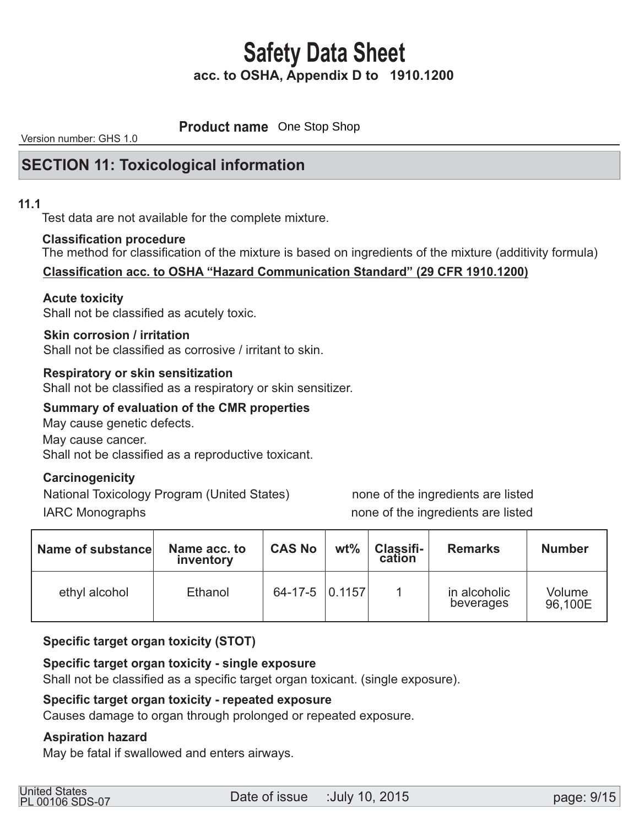**Product name** One Stop Shop

Version number: GHS 1.0

### **SECTION 11: Toxicological information**

### **11.1**

Test data are not available for the complete mixture.

#### **Classification procedure**

The method for classification of the mixture is based on ingredients of the mixture (additivity formula)

### **Classification acc. to OSHA "Hazard Communication Standard" (29 CFR 1910.1200)**

### **Acute toxicity**

Shall not be classified as acutely toxic.

### **Skin corrosion / irritation**

Shall not be classified as corrosive / irritant to skin.

### **Respiratory or skin sensitization**

Shall not be classified as a respiratory or skin sensitizer.

### **Summary of evaluation of the CMR properties**

May cause genetic defects. May cause cancer. Shall not be classified as a reproductive toxicant.

### **Carcinogenicity**

National Toxicology Program (United States) none of the ingredients are listed IARC Monographs **none** of the ingredients are listed

| Name of substance | Name acc. to<br>inventory | <b>CAS No</b>        | $wt\%$ | Classifi-<br>cation | <b>Remarks</b>            | <b>Number</b>     |
|-------------------|---------------------------|----------------------|--------|---------------------|---------------------------|-------------------|
| ethyl alcohol     | Ethanol                   | $64-17-5$ $ 0.1157 $ |        |                     | in alcoholic<br>beverages | Volume<br>96,100E |

### **Specific target organ toxicity (STOT)**

### **Specific target organ toxicity - single exposure**

Shall not be classified as a specific target organ toxicant. (single exposure).

### **Specific target organ toxicity - repeated exposure**

Causes damage to organ through prolonged or repeated exposure.

### **Aspiration hazard**

May be fatal if swallowed and enters airways.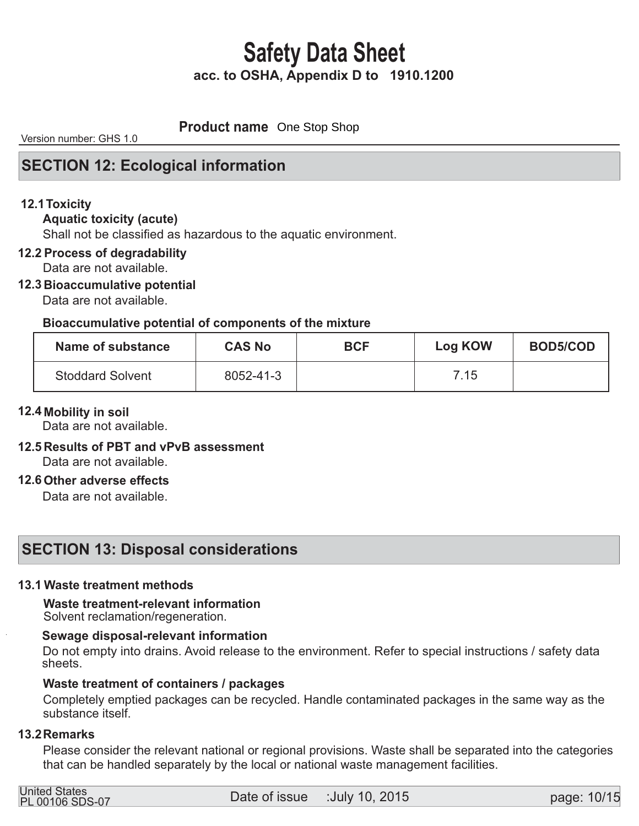**Product name** One Stop Shop

Version number: GHS 1.0

## **SECTION 12: Ecological information**

### **12.1 Toxicity**

### **Aquatic toxicity (acute)**

Shall not be classified as hazardous to the aquatic environment.

### **12.2 Process of degradability**

Data are not available.

### **12.3 Bioaccumulative potential**

Data are not available.

### **Bioaccumulative potential of components of the mixture**

| Name of substance       | <b>CAS No</b> | <b>BCF</b> | <b>Log KOW</b> | <b>BOD5/COD</b> |
|-------------------------|---------------|------------|----------------|-----------------|
| <b>Stoddard Solvent</b> | 8052-41-3     |            | 7.15           |                 |

### **12.4 Mobility in soil**

Data are not available.

## **12.5 Results of PBT and vPvB assessment**

Data are not available.

### **12.6 Other adverse effects**

Data are not available.

## **SECTION 13: Disposal considerations**

### **13.1 Waste treatment methods**

# **Waste treatment-relevant information**

Solvent reclamation/regeneration.

### **Sewage disposal-relevant information**

 Do not empty into drains. Avoid release to the environment. Refer to special instructions / safety data sheets.

### **Waste treatment of containers / packages**

 Completely emptied packages can be recycled. Handle contaminated packages in the same way as the substance itself.

### **13.2 Remarks**

 Please consider the relevant national or regional provisions. Waste shall be separated into the categories that can be handled separately by the local or national waste management facilities.

| <b>United States</b>   |  |
|------------------------|--|
| <b>PL 00106 SDS-07</b> |  |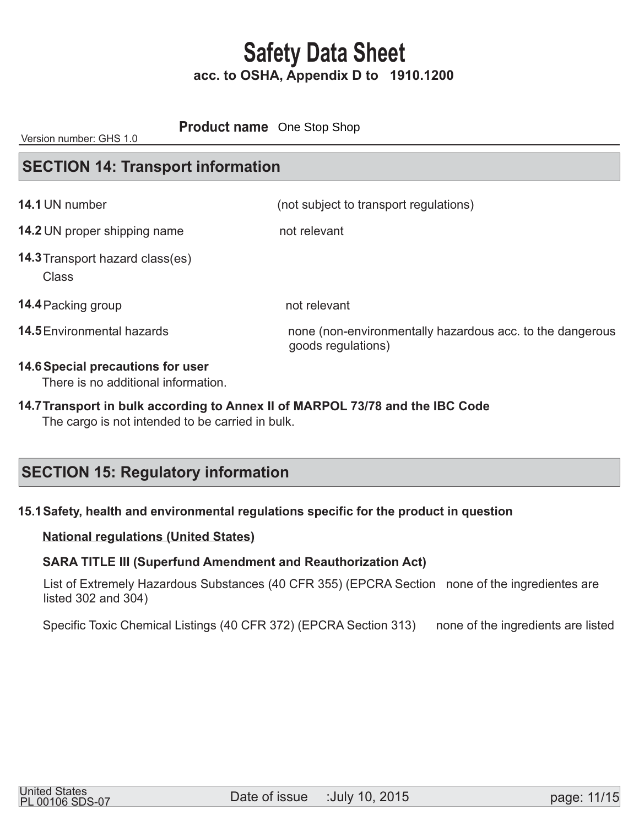### **Product name** One Stop Shop

Version number: GHS 1.0

## **SECTION 14: Transport information**

| 14.1 UN number                                                           | (not subject to transport regulations)                                          |
|--------------------------------------------------------------------------|---------------------------------------------------------------------------------|
| <b>14.2 UN proper shipping name</b>                                      | not relevant                                                                    |
| <b>14.3 Transport hazard class(es)</b><br><b>Class</b>                   |                                                                                 |
| 14.4 Packing group                                                       | not relevant                                                                    |
| <b>14.5</b> Environmental hazards                                        | none (non-environmentally hazardous acc. to the dangerous<br>goods regulations) |
| 14.6 Special precautions for user<br>There is no additional information. |                                                                                 |

# 14.7 Transport in bulk according to Annex II of MARPOL 73/78 and the IBC Code

The cargo is not intended to be carried in bulk.

## **SECTION 15: Regulatory information**

### **15.1 Safety, health and environmental regulations specific for the product in question**

### **National regulations (United States)**

### **SARA TITLE III (Superfund Amendment and Reauthorization Act)**

 List of Extremely Hazardous Substances (40 CFR 355) (EPCRA Section none of the ingredientes are listed 302 and 304)

Specific Toxic Chemical Listings (40 CFR 372) (EPCRA Section 313) none of the ingredients are listed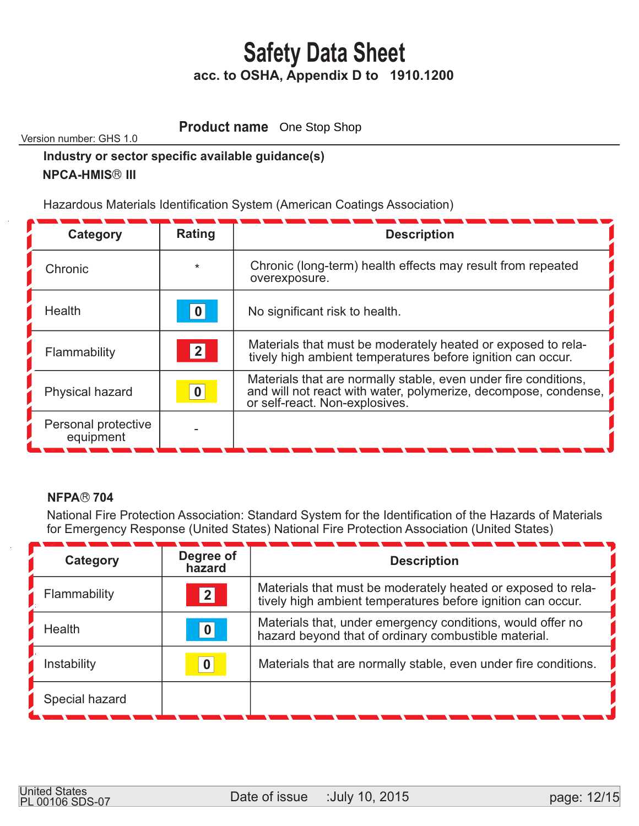**Product name** One Stop Shop

Version number: GHS 1.0

# **Industry or sector specific available guidance(s)**

### **NPCA-HMIS<sup>®</sup> III**

Hazardous Materials Identification System (American Coatings Association)

| Category                         | <b>Rating</b> | <b>Description</b>                                                                                                                                                   |
|----------------------------------|---------------|----------------------------------------------------------------------------------------------------------------------------------------------------------------------|
| Chronic                          | $\star$       | Chronic (long-term) health effects may result from repeated<br>overexposure.                                                                                         |
| Health                           | 0             | No significant risk to health.                                                                                                                                       |
| Flammability                     | 2             | Materials that must be moderately heated or exposed to rela-<br>tively high ambient temperatures before ignition can occur.                                          |
| Physical hazard                  | $\bf{0}$      | Materials that are normally stable, even under fire conditions,<br>and will not react with water, polymerize, decompose, condense,<br>or self-react. Non-explosives. |
| Personal protective<br>equipment |               |                                                                                                                                                                      |

### **NFPA® 704**

 National Fire Protection Association: Standard System for the Identification of the Hazards of Materials for Emergency Response (United States) National Fire Protection Association (United States)

| Category       | Degree of<br>hazard | <b>Description</b>                                                                                                          |
|----------------|---------------------|-----------------------------------------------------------------------------------------------------------------------------|
| Flammability   | 2                   | Materials that must be moderately heated or exposed to rela-<br>tively high ambient temperatures before ignition can occur. |
| Health         | 0                   | Materials that, under emergency conditions, would offer no<br>hazard beyond that of ordinary combustible material.          |
| Instability    | 0                   | Materials that are normally stable, even under fire conditions.                                                             |
| Special hazard |                     |                                                                                                                             |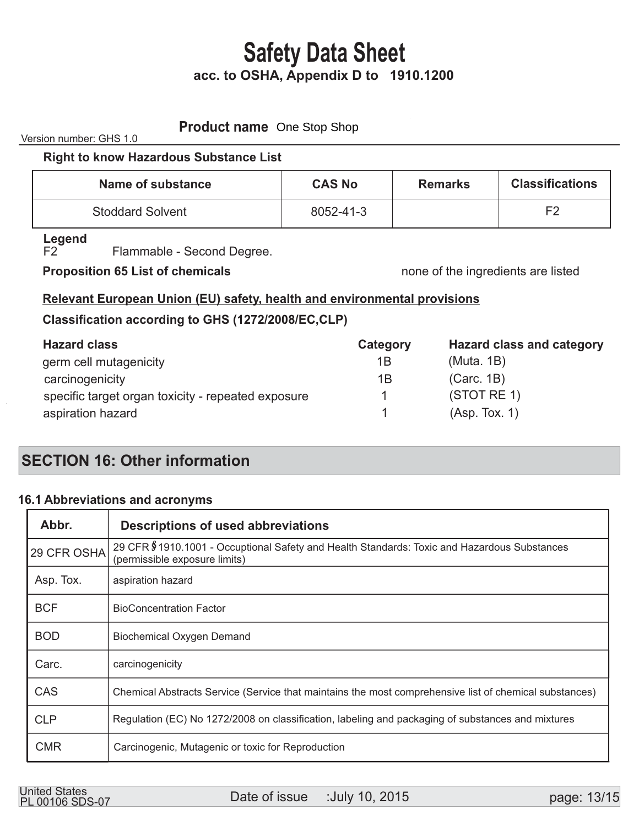| <b>Product name</b> One Stop Shop<br>Version number: GHS 1.0                                                                                                                                                                   |                           |                                                         |                                  |
|--------------------------------------------------------------------------------------------------------------------------------------------------------------------------------------------------------------------------------|---------------------------|---------------------------------------------------------|----------------------------------|
| <b>Right to know Hazardous Substance List</b>                                                                                                                                                                                  |                           |                                                         |                                  |
| Name of substance                                                                                                                                                                                                              | <b>CAS No</b>             | <b>Remarks</b>                                          | <b>Classifications</b>           |
| <b>Stoddard Solvent</b>                                                                                                                                                                                                        | 8052-41-3                 |                                                         | F <sub>2</sub>                   |
| Legend<br>Flammable - Second Degree.<br>F2<br><b>Proposition 65 List of chemicals</b><br><b>Relevant European Union (EU) safety, health and environmental provisions</b><br>Classification according to GHS (1272/2008/EC,CLP) |                           | none of the ingredients are listed                      |                                  |
| <b>Hazard class</b><br>germ cell mutagenicity<br>carcinogenicity<br>specific target organ toxicity - repeated exposure<br>aspiration hazard                                                                                    | Category<br>1B<br>1B<br>1 | (Muta. 1B)<br>(Carc. 1B)<br>(STOTRE 1)<br>(Asp. Tox. 1) | <b>Hazard class and category</b> |

# **SECTION 16: Other information**

### **Abbreviations and acronyms 16.1**

| Abbr.       | <b>Descriptions of used abbreviations</b>                                                                                    |
|-------------|------------------------------------------------------------------------------------------------------------------------------|
| 29 CFR OSHA | 29 CFR §1910.1001 - Occuptional Safety and Health Standards: Toxic and Hazardous Substances<br>(permissible exposure limits) |
| Asp. Tox.   | aspiration hazard                                                                                                            |
| <b>BCF</b>  | <b>BioConcentration Factor</b>                                                                                               |
| <b>BOD</b>  | Biochemical Oxygen Demand                                                                                                    |
| Carc.       | carcinogenicity                                                                                                              |
| CAS         | Chemical Abstracts Service (Service that maintains the most comprehensive list of chemical substances)                       |
| <b>CLP</b>  | Regulation (EC) No 1272/2008 on classification, labeling and packaging of substances and mixtures                            |
| <b>CMR</b>  | Carcinogenic, Mutagenic or toxic for Reproduction                                                                            |

United States<br>PL 00106 SDS-07 **Date of issue** :July 10, 2015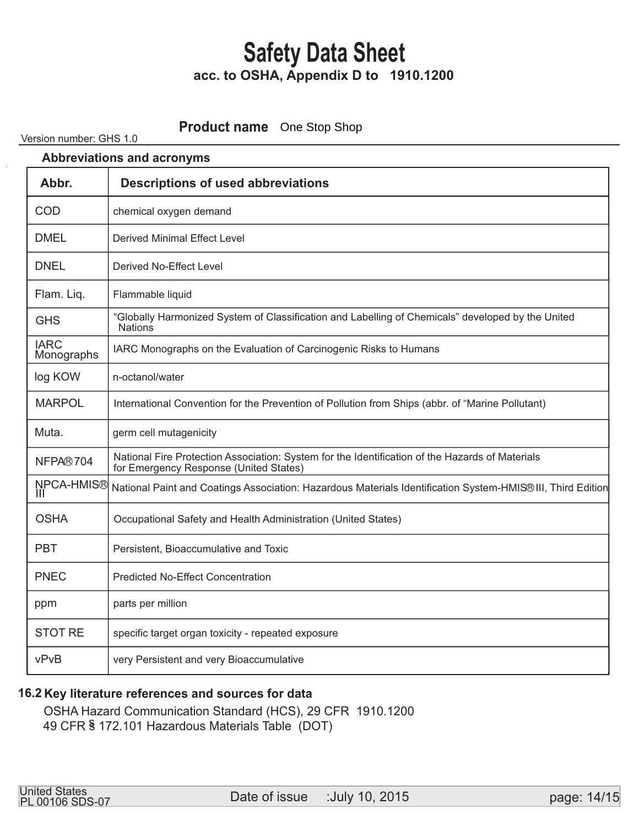### **Product name** One Stop Shop

#### Version number: GHS 1.0

| <b>Abbreviations and acronyms</b> |                                                                                                                                           |
|-----------------------------------|-------------------------------------------------------------------------------------------------------------------------------------------|
| Abbr.                             | <b>Descriptions of used abbreviations</b>                                                                                                 |
| COD                               | chemical oxygen demand                                                                                                                    |
| <b>DMEL</b>                       | Derived Minimal Effect Level                                                                                                              |
| <b>DNEL</b>                       | Derived No-Effect Level                                                                                                                   |
| Flam. Liq.                        | Flammable liquid                                                                                                                          |
| <b>GHS</b>                        | "Globally Harmonized System of Classification and Labelling of Chemicals" developed by the United<br><b>Nations</b>                       |
| <b>IARC</b><br>Monographs         | IARC Monographs on the Evaluation of Carcinogenic Risks to Humans                                                                         |
| log KOW                           | n-octanol/water                                                                                                                           |
| <b>MARPOL</b>                     | International Convention for the Prevention of Pollution from Ships (abbr. of "Marine Pollutant)                                          |
| Muta.                             | germ cell mutagenicity                                                                                                                    |
| NFPA®704                          | National Fire Protection Association: System for the Identification of the Hazards of Materials<br>for Emergency Response (United States) |
| NPCA-HMIS®<br>Ш                   | National Paint and Coatings Association: Hazardous Materials Identification System-HMIS® III, Third Edition                               |
| <b>OSHA</b>                       | Occupational Safety and Health Administration (United States)                                                                             |
| <b>PBT</b>                        | Persistent, Bioaccumulative and Toxic                                                                                                     |
| <b>PNEC</b>                       | <b>Predicted No-Effect Concentration</b>                                                                                                  |
| ppm                               | parts per million                                                                                                                         |
| <b>STOT RE</b>                    | specific target organ toxicity - repeated exposure                                                                                        |
| vPvB                              | very Persistent and very Bioaccumulative                                                                                                  |

### **Key literature references and sources for data 16.2**

 OSHA Hazard Communication Standard (HCS), 29 CFR 1910.1200 49 CFR § 172.101 Hazardous Materials Table (DOT)